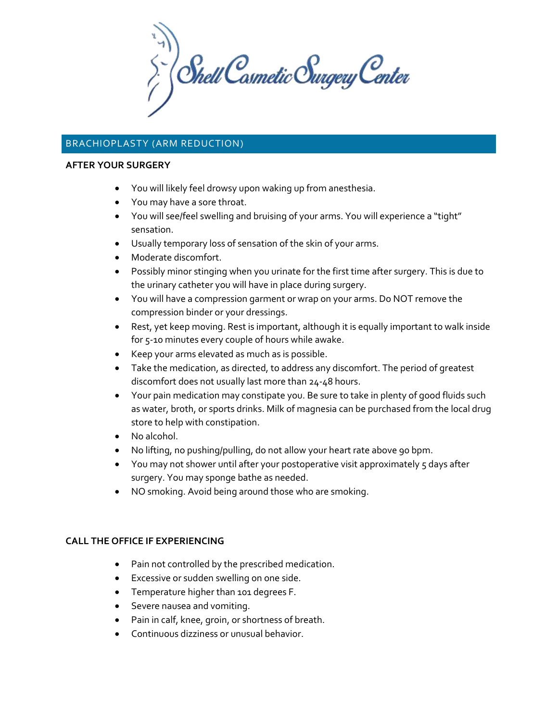$\left\langle \begin{array}{c} \searrow \ \searrow \end{array} \right\rangle$  Shell Cosmetic Surgery Center

# BRACHIOPLASTY (ARM REDUCTION)

#### **AFTER YOUR SURGERY**

- You will likely feel drowsy upon waking up from anesthesia.
- You may have a sore throat.
- You will see/feel swelling and bruising of your arms. You will experience a "tight" sensation.
- Usually temporary loss of sensation of the skin of your arms.
- Moderate discomfort.
- Possibly minor stinging when you urinate for the first time after surgery. This is due to the urinary catheter you will have in place during surgery.
- You will have a compression garment or wrap on your arms. Do NOT remove the compression binder or your dressings.
- Rest, yet keep moving. Rest is important, although it is equally important to walk inside for 5-10 minutes every couple of hours while awake.
- Keep your arms elevated as much as is possible.
- Take the medication, as directed, to address any discomfort. The period of greatest discomfort does not usually last more than 24-48 hours.
- Your pain medication may constipate you. Be sure to take in plenty of good fluids such as water, broth, or sports drinks. Milk of magnesia can be purchased from the local drug store to help with constipation.
- No alcohol.
- No lifting, no pushing/pulling, do not allow your heart rate above 90 bpm.
- You may not shower until after your postoperative visit approximately 5 days after surgery. You may sponge bathe as needed.
- NO smoking. Avoid being around those who are smoking.

### **CALL THE OFFICE IF EXPERIENCING**

- Pain not controlled by the prescribed medication.
- Excessive or sudden swelling on one side.
- Temperature higher than 101 degrees F.
- Severe nausea and vomiting.
- Pain in calf, knee, groin, or shortness of breath.
- Continuous dizziness or unusual behavior.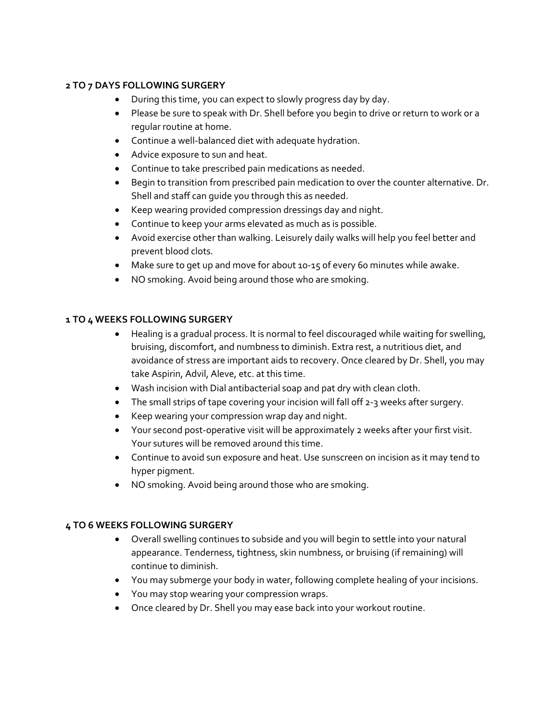## **2 TO 7 DAYS FOLLOWING SURGERY**

- During this time, you can expect to slowly progress day by day.
- Please be sure to speak with Dr. Shell before you begin to drive or return to work or a regular routine at home.
- Continue a well-balanced diet with adequate hydration.
- Advice exposure to sun and heat.
- Continue to take prescribed pain medications as needed.
- Begin to transition from prescribed pain medication to over the counter alternative. Dr. Shell and staff can guide you through this as needed.
- Keep wearing provided compression dressings day and night.
- Continue to keep your arms elevated as much as is possible.
- Avoid exercise other than walking. Leisurely daily walks will help you feel better and prevent blood clots.
- Make sure to get up and move for about 10-15 of every 60 minutes while awake.
- NO smoking. Avoid being around those who are smoking.

### **1 TO 4 WEEKS FOLLOWING SURGERY**

- Healing is a gradual process. It is normal to feel discouraged while waiting for swelling, bruising, discomfort, and numbness to diminish. Extra rest, a nutritious diet, and avoidance of stress are important aids to recovery. Once cleared by Dr. Shell, you may take Aspirin, Advil, Aleve, etc. at this time.
- Wash incision with Dial antibacterial soap and pat dry with clean cloth.
- The small strips of tape covering your incision will fall off 2-3 weeks after surgery.
- Keep wearing your compression wrap day and night.
- Your second post-operative visit will be approximately 2 weeks after your first visit. Your sutures will be removed around this time.
- Continue to avoid sun exposure and heat. Use sunscreen on incision as it may tend to hyper pigment.
- NO smoking. Avoid being around those who are smoking.

### **4 TO 6 WEEKS FOLLOWING SURGERY**

- Overall swelling continues to subside and you will begin to settle into your natural appearance. Tenderness, tightness, skin numbness, or bruising (if remaining) will continue to diminish.
- You may submerge your body in water, following complete healing of your incisions.
- You may stop wearing your compression wraps.
- Once cleared by Dr. Shell you may ease back into your workout routine.